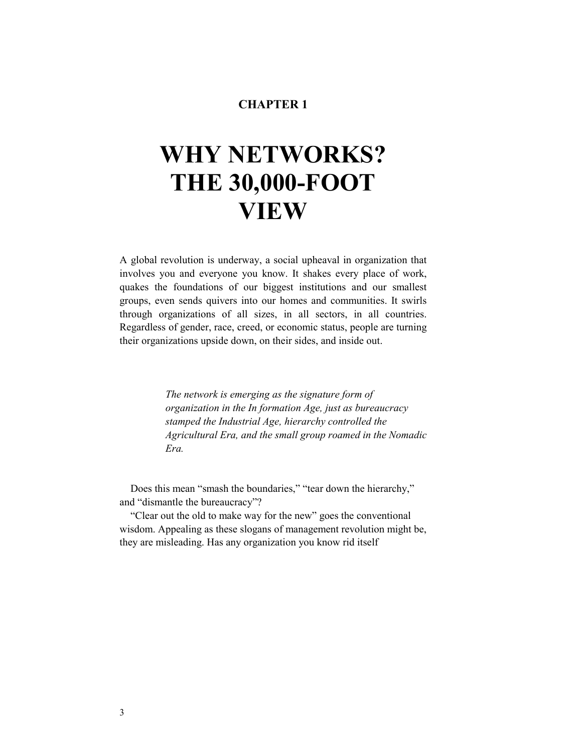# **CHAPTER 1**

# **WHY NETWORKS? THE 30,000-FOOT VIEW**

A global revolution is underway, a social upheaval in organization that involves you and everyone you know. It shakes every place of work, quakes the foundations of our biggest institutions and our smallest groups, even sends quivers into our homes and communities. It swirls through organizations of all sizes, in all sectors, in all countries. Regardless of gender, race, creed, or economic status, people are turning their organizations upside down, on their sides, and inside out.

> *The network is emerging as the signature form of organization in the In formation Age, just as bureaucracy stamped the Industrial Age, hierarchy controlled the Agricultural Era, and the small group roamed in the Nomadic Era.*

Does this mean "smash the boundaries," "tear down the hierarchy," and "dismantle the bureaucracy"?

"Clear out the old to make way for the new" goes the conventional wisdom. Appealing as these slogans of management revolution might be, they are misleading. Has any organization you know rid itself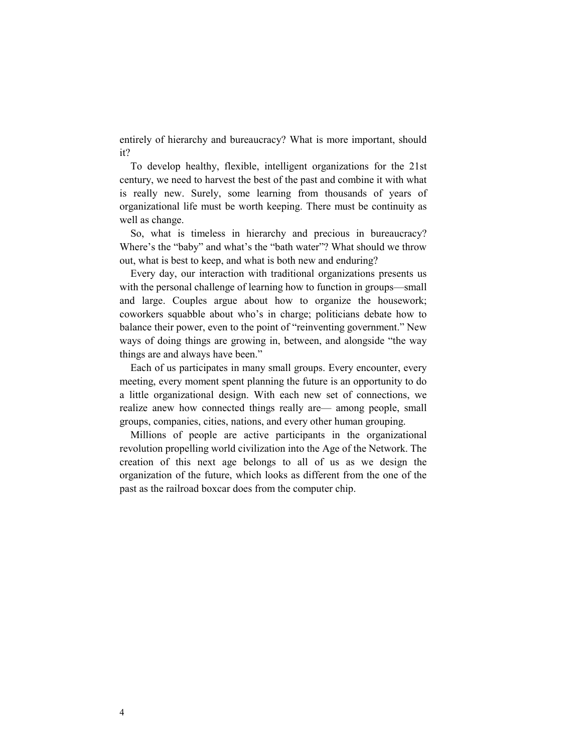entirely of hierarchy and bureaucracy? What is more important, should it?

To develop healthy, flexible, intelligent organizations for the 21st century, we need to harvest the best of the past and combine it with what is really new. Surely, some learning from thousands of years of organizational life must be worth keeping. There must be continuity as well as change.

So, what is timeless in hierarchy and precious in bureaucracy? Where's the "baby" and what's the "bath water"? What should we throw out, what is best to keep, and what is both new and enduring?

Every day, our interaction with traditional organizations presents us with the personal challenge of learning how to function in groups—small and large. Couples argue about how to organize the housework; coworkers squabble about who's in charge; politicians debate how to balance their power, even to the point of "reinventing government." New ways of doing things are growing in, between, and alongside "the way things are and always have been."

Each of us participates in many small groups. Every encounter, every meeting, every moment spent planning the future is an opportunity to do a little organizational design. With each new set of connections, we realize anew how connected things really are— among people, small groups, companies, cities, nations, and every other human grouping.

Millions of people are active participants in the organizational revolution propelling world civilization into the Age of the Network. The creation of this next age belongs to all of us as we design the organization of the future, which looks as different from the one of the past as the railroad boxcar does from the computer chip.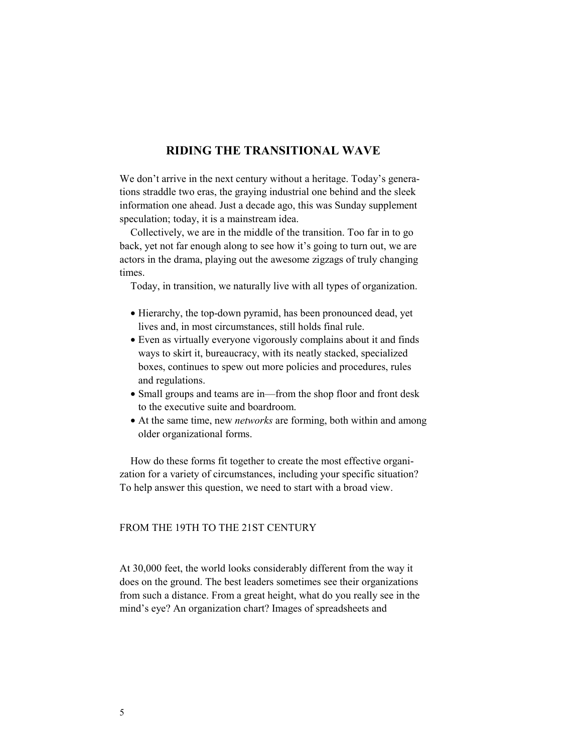# **RIDING THE TRANSITIONAL WAVE**

We don't arrive in the next century without a heritage. Today's generations straddle two eras, the graying industrial one behind and the sleek information one ahead. Just a decade ago, this was Sunday supplement speculation; today, it is a mainstream idea.

Collectively, we are in the middle of the transition. Too far in to go back, yet not far enough along to see how it's going to turn out, we are actors in the drama, playing out the awesome zigzags of truly changing times.

Today, in transition, we naturally live with all types of organization.

- Hierarchy, the top-down pyramid, has been pronounced dead, yet lives and, in most circumstances, still holds final rule.
- Even as virtually everyone vigorously complains about it and finds ways to skirt it, bureaucracy, with its neatly stacked, specialized boxes, continues to spew out more policies and procedures, rules and regulations.
- Small groups and teams are in—from the shop floor and front desk to the executive suite and boardroom.
- At the same time, new *networks* are forming, both within and among older organizational forms.

How do these forms fit together to create the most effective organization for a variety of circumstances, including your specific situation? To help answer this question, we need to start with a broad view.

## FROM THE 19TH TO THE 21ST CENTURY

At 30,000 feet, the world looks considerably different from the way it does on the ground. The best leaders sometimes see their organizations from such a distance. From a great height, what do you really see in the mind's eye? An organization chart? Images of spreadsheets and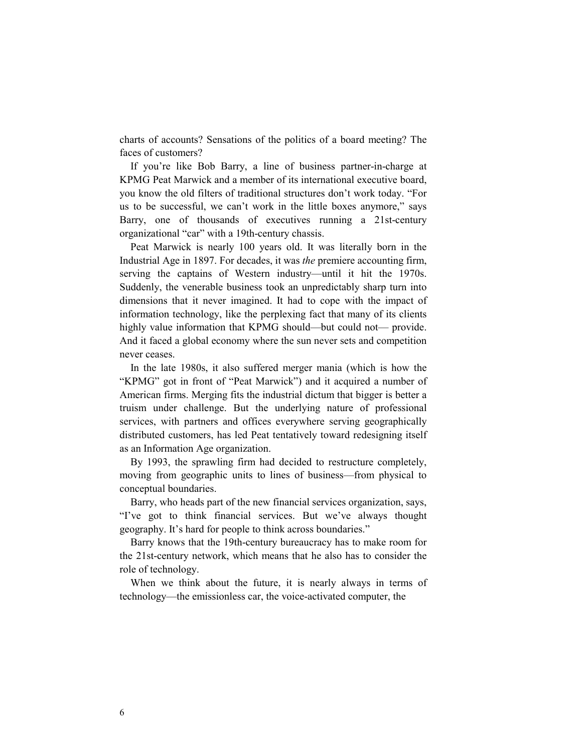charts of accounts? Sensations of the politics of a board meeting? The faces of customers?

If you're like Bob Barry, a line of business partner-in-charge at KPMG Peat Marwick and a member of its international executive board, you know the old filters of traditional structures don't work today. "For us to be successful, we can't work in the little boxes anymore," says Barry, one of thousands of executives running a 21st-century organizational "car" with a 19th-century chassis.

Peat Marwick is nearly 100 years old. It was literally born in the Industrial Age in 1897. For decades, it was *the* premiere accounting firm, serving the captains of Western industry—until it hit the 1970s. Suddenly, the venerable business took an unpredictably sharp turn into dimensions that it never imagined. It had to cope with the impact of information technology, like the perplexing fact that many of its clients highly value information that KPMG should—but could not— provide. And it faced a global economy where the sun never sets and competition never ceases.

In the late 1980s, it also suffered merger mania (which is how the "KPMG" got in front of "Peat Marwick") and it acquired a number of American firms. Merging fits the industrial dictum that bigger is better a truism under challenge. But the underlying nature of professional services, with partners and offices everywhere serving geographically distributed customers, has led Peat tentatively toward redesigning itself as an Information Age organization.

By 1993, the sprawling firm had decided to restructure completely, moving from geographic units to lines of business—from physical to conceptual boundaries.

Barry, who heads part of the new financial services organization, says, "I've got to think financial services. But we've always thought geography. It's hard for people to think across boundaries."

Barry knows that the 19th-century bureaucracy has to make room for the 21st-century network, which means that he also has to consider the role of technology.

When we think about the future, it is nearly always in terms of technology—the emissionless car, the voice-activated computer, the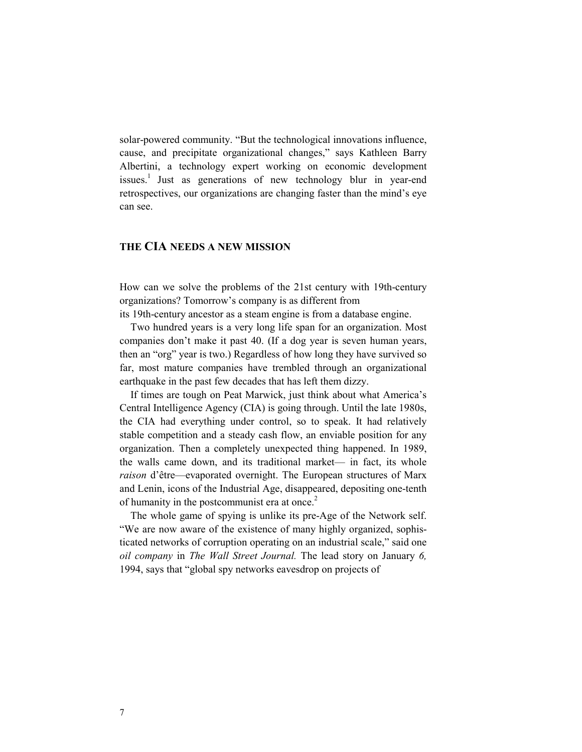solar-powered community. "But the technological innovations influence, cause, and precipitate organizational changes," says Kathleen Barry Albertini, a technology expert working on economic development issues.<sup>1</sup> Just as generations of new technology blur in year-end retrospectives, our organizations are changing faster than the mind's eye can see.

# **THE CIA NEEDS A NEW MISSION**

How can we solve the problems of the 21st century with 19th-century organizations? Tomorrow's company is as different from its 19th-century ancestor as a steam engine is from a database engine.

Two hundred years is a very long life span for an organization. Most companies don't make it past 40. (If a dog year is seven human years, then an "org" year is two.) Regardless of how long they have survived so far, most mature companies have trembled through an organizational earthquake in the past few decades that has left them dizzy.

If times are tough on Peat Marwick, just think about what America's Central Intelligence Agency (CIA) is going through. Until the late 1980s, the CIA had everything under control, so to speak. It had relatively stable competition and a steady cash flow, an enviable position for any organization. Then a completely unexpected thing happened. In 1989, the walls came down, and its traditional market— in fact, its whole *raison* d'être—evaporated overnight. The European structures of Marx and Lenin, icons of the Industrial Age, disappeared, depositing one-tenth of humanity in the postcommunist era at once.<sup>2</sup>

The whole game of spying is unlike its pre-Age of the Network self. "We are now aware of the existence of many highly organized, sophisticated networks of corruption operating on an industrial scale," said one *oil company* in *The Wall Street Journal.* The lead story on January *6,*  1994, says that "global spy networks eavesdrop on projects of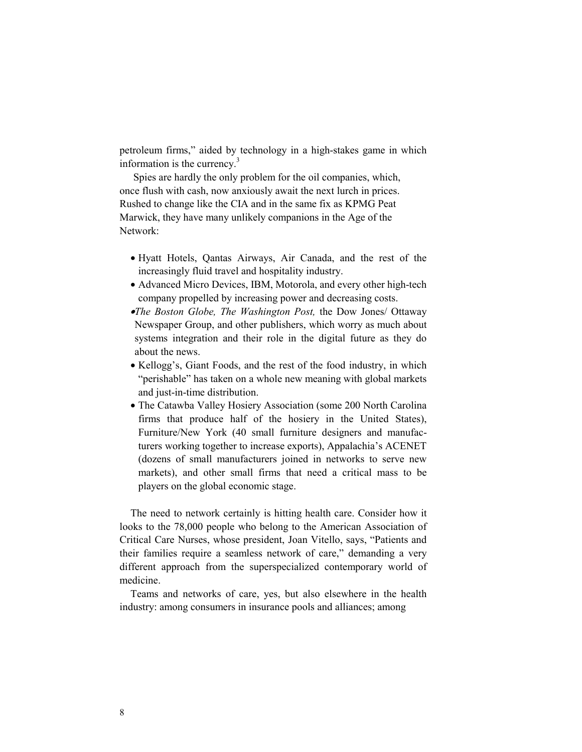petroleum firms," aided by technology in a high-stakes game in which information is the currency. $3$ 

Spies are hardly the only problem for the oil companies, which, once flush with cash, now anxiously await the next lurch in prices. Rushed to change like the CIA and in the same fix as KPMG Peat Marwick, they have many unlikely companions in the Age of the Network:

- Hyatt Hotels, Qantas Airways, Air Canada, and the rest of the increasingly fluid travel and hospitality industry.
- Advanced Micro Devices, IBM, Motorola, and every other high-tech company propelled by increasing power and decreasing costs.
- •*The Boston Globe, The Washington Post,* the Dow Jones/ Ottaway Newspaper Group, and other publishers, which worry as much about systems integration and their role in the digital future as they do about the news.
- Kellogg's, Giant Foods, and the rest of the food industry, in which "perishable" has taken on a whole new meaning with global markets and just-in-time distribution.
- The Catawba Valley Hosiery Association (some 200 North Carolina firms that produce half of the hosiery in the United States), Furniture/New York (40 small furniture designers and manufacturers working together to increase exports), Appalachia's ACENET (dozens of small manufacturers joined in networks to serve new markets), and other small firms that need a critical mass to be players on the global economic stage.

The need to network certainly is hitting health care. Consider how it looks to the 78,000 people who belong to the American Association of Critical Care Nurses, whose president, Joan Vitello, says, "Patients and their families require a seamless network of care," demanding a very different approach from the superspecialized contemporary world of medicine.

Teams and networks of care, yes, but also elsewhere in the health industry: among consumers in insurance pools and alliances; among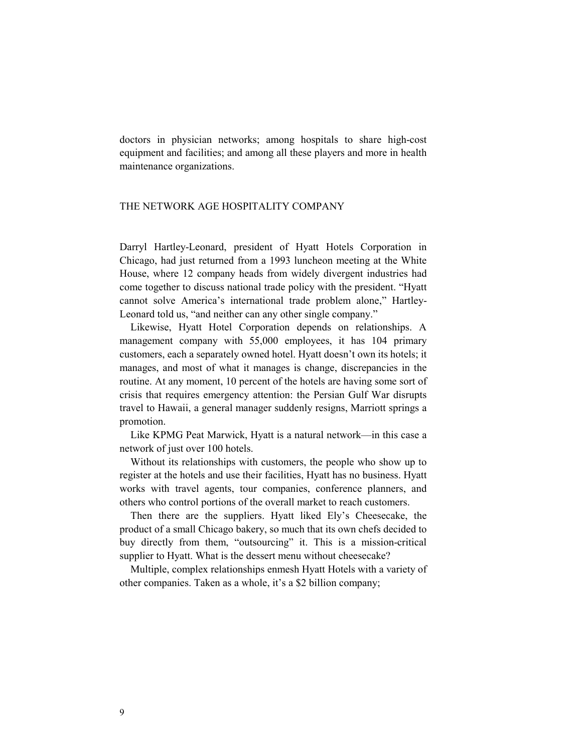doctors in physician networks; among hospitals to share high-cost equipment and facilities; and among all these players and more in health maintenance organizations.

## THE NETWORK AGE HOSPITALITY COMPANY

Darryl Hartley-Leonard, president of Hyatt Hotels Corporation in Chicago, had just returned from a 1993 luncheon meeting at the White House, where 12 company heads from widely divergent industries had come together to discuss national trade policy with the president. "Hyatt cannot solve America's international trade problem alone," Hartley-Leonard told us, "and neither can any other single company."

Likewise, Hyatt Hotel Corporation depends on relationships. A management company with 55,000 employees, it has 104 primary customers, each a separately owned hotel. Hyatt doesn't own its hotels; it manages, and most of what it manages is change, discrepancies in the routine. At any moment, 10 percent of the hotels are having some sort of crisis that requires emergency attention: the Persian Gulf War disrupts travel to Hawaii, a general manager suddenly resigns, Marriott springs a promotion.

Like KPMG Peat Marwick, Hyatt is a natural network—in this case a network of just over 100 hotels.

Without its relationships with customers, the people who show up to register at the hotels and use their facilities, Hyatt has no business. Hyatt works with travel agents, tour companies, conference planners, and others who control portions of the overall market to reach customers.

Then there are the suppliers. Hyatt liked Ely's Cheesecake, the product of a small Chicago bakery, so much that its own chefs decided to buy directly from them, "outsourcing" it. This is a mission-critical supplier to Hyatt. What is the dessert menu without cheesecake?

Multiple, complex relationships enmesh Hyatt Hotels with a variety of other companies. Taken as a whole, it's a \$2 billion company;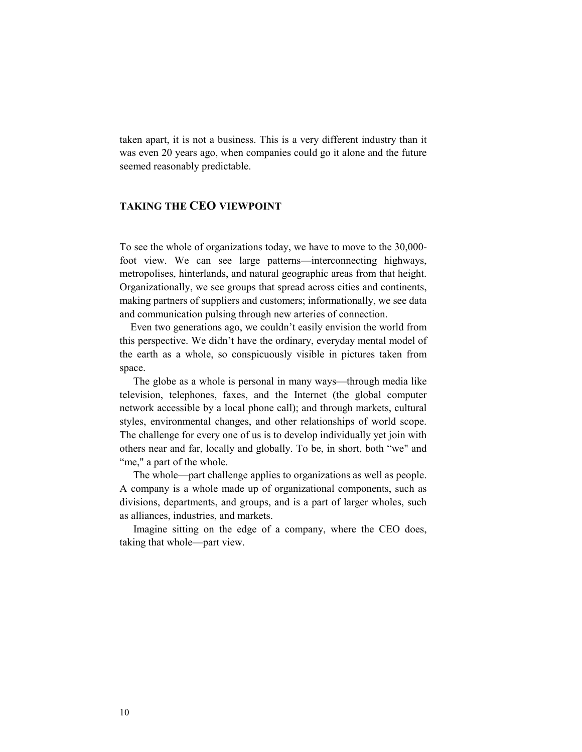taken apart, it is not a business. This is a very different industry than it was even 20 years ago, when companies could go it alone and the future seemed reasonably predictable.

# **TAKING THE CEO VIEWPOINT**

To see the whole of organizations today, we have to move to the 30,000 foot view. We can see large patterns—interconnecting highways, metropolises, hinterlands, and natural geographic areas from that height. Organizationally, we see groups that spread across cities and continents, making partners of suppliers and customers; informationally, we see data and communication pulsing through new arteries of connection.

Even two generations ago, we couldn't easily envision the world from this perspective. We didn't have the ordinary, everyday mental model of the earth as a whole, so conspicuously visible in pictures taken from space.

The globe as a whole is personal in many ways—through media like television, telephones, faxes, and the Internet (the global computer network accessible by a local phone call); and through markets, cultural styles, environmental changes, and other relationships of world scope. The challenge for every one of us is to develop individually yet join with others near and far, locally and globally. To be, in short, both "we" and "me," a part of the whole.

The whole—part challenge applies to organizations as well as people. A company is a whole made up of organizational components, such as divisions, departments, and groups, and is a part of larger wholes, such as alliances, industries, and markets.

Imagine sitting on the edge of a company, where the CEO does, taking that whole—part view.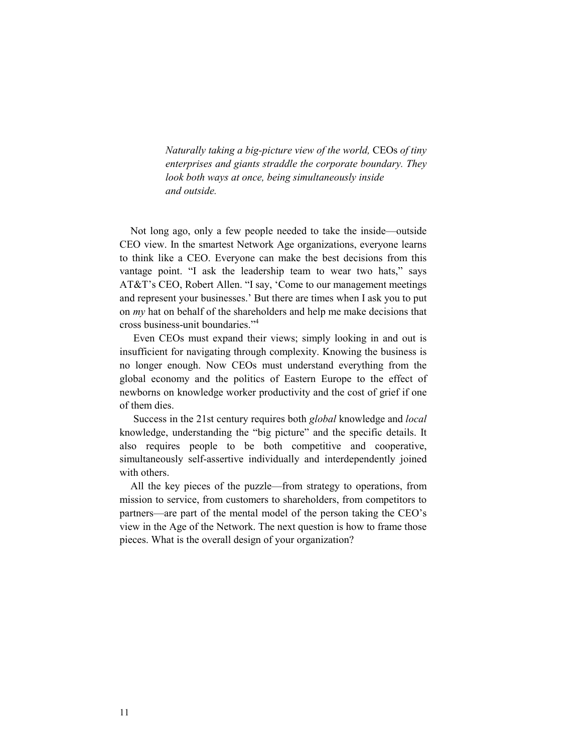*Naturally taking a big-picture view of the world,* CEOs *of tiny enterprises and giants straddle the corporate boundary. They look both ways at once, being simultaneously inside and outside.* 

Not long ago, only a few people needed to take the inside—outside CEO view. In the smartest Network Age organizations, everyone learns to think like a CEO. Everyone can make the best decisions from this vantage point. "I ask the leadership team to wear two hats," says AT&T's CEO, Robert Allen. "I say, 'Come to our management meetings and represent your businesses.' But there are times when I ask you to put on *my* hat on behalf of the shareholders and help me make decisions that cross business-unit boundaries."4

Even CEOs must expand their views; simply looking in and out is insufficient for navigating through complexity. Knowing the business is no longer enough. Now CEOs must understand everything from the global economy and the politics of Eastern Europe to the effect of newborns on knowledge worker productivity and the cost of grief if one of them dies.

Success in the 21st century requires both *global* knowledge and *local*  knowledge, understanding the "big picture" and the specific details. It also requires people to be both competitive and cooperative, simultaneously self-assertive individually and interdependently joined with others.

All the key pieces of the puzzle—from strategy to operations, from mission to service, from customers to shareholders, from competitors to partners—are part of the mental model of the person taking the CEO's view in the Age of the Network. The next question is how to frame those pieces. What is the overall design of your organization?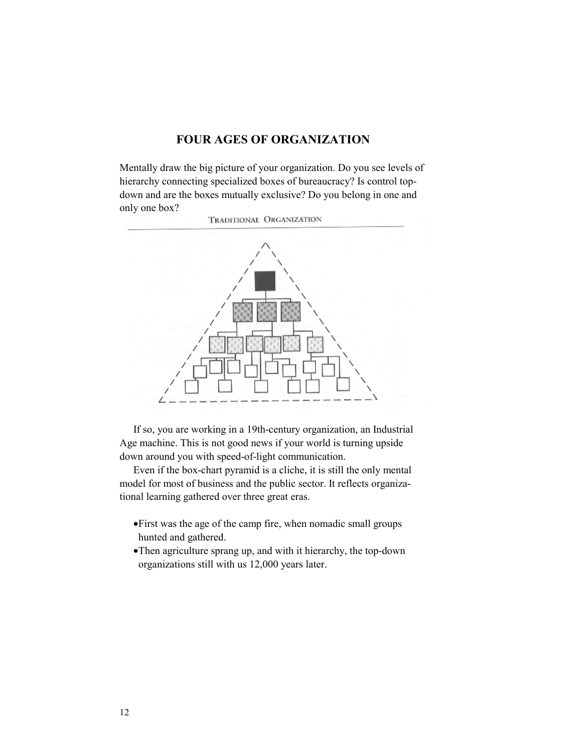# **FOUR AGES OF ORGANIZATION**

Mentally draw the big picture of your organization. Do you see levels of hierarchy connecting specialized boxes of bureaucracy? Is control topdown and are the boxes mutually exclusive? Do you belong in one and only one box?



If so, you are working in a 19th-century organization, an Industrial Age machine. This is not good news if your world is turning upside down around you with speed-of-light communication.

Even if the box-chart pyramid is a cliche, it is still the only mental model for most of business and the public sector. It reflects organizational learning gathered over three great eras.

- First was the age of the camp fire, when nomadic small groups hunted and gathered.
- Then agriculture sprang up, and with it hierarchy, the top-down organizations still with us 12,000 years later.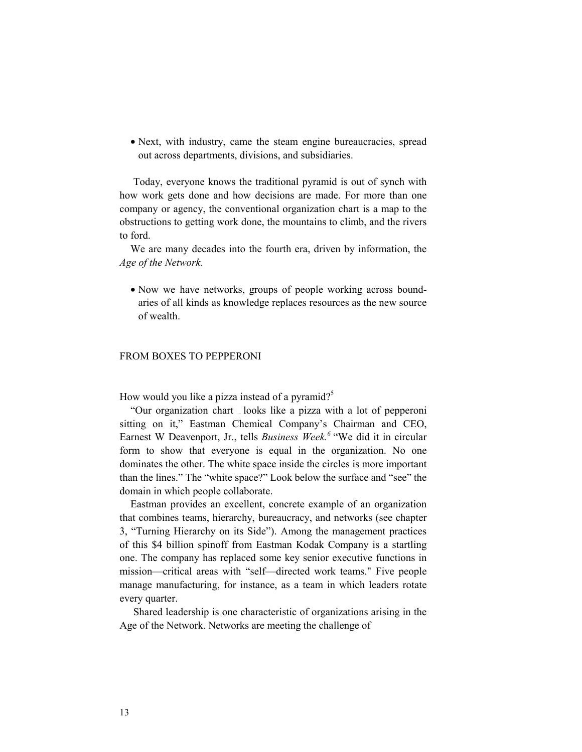• Next, with industry, came the steam engine bureaucracies, spread out across departments, divisions, and subsidiaries.

Today, everyone knows the traditional pyramid is out of synch with how work gets done and how decisions are made. For more than one company or agency, the conventional organization chart is a map to the obstructions to getting work done, the mountains to climb, and the rivers to ford.

We are many decades into the fourth era, driven by information, the *Age of the Network.* 

• Now we have networks, groups of people working across boundaries of all kinds as knowledge replaces resources as the new source of wealth.

## FROM BOXES TO PEPPERONI

How would you like a pizza instead of a pyramid?<sup>5</sup>

"Our organization chart ... looks like a pizza with a lot of pepperoni sitting on it," Eastman Chemical Company's Chairman and CEO, Earnest W Deavenport, Jr., tells *Business Week.6* "We did it in circular form to show that everyone is equal in the organization. No one dominates the other. The white space inside the circles is more important than the lines." The "white space?" Look below the surface and "see" the domain in which people collaborate.

Eastman provides an excellent, concrete example of an organization that combines teams, hierarchy, bureaucracy, and networks (see chapter 3, "Turning Hierarchy on its Side"). Among the management practices of this \$4 billion spinoff from Eastman Kodak Company is a startling one. The company has replaced some key senior executive functions in mission—critical areas with "self—directed work teams." Five people manage manufacturing, for instance, as a team in which leaders rotate every quarter.

Shared leadership is one characteristic of organizations arising in the Age of the Network. Networks are meeting the challenge of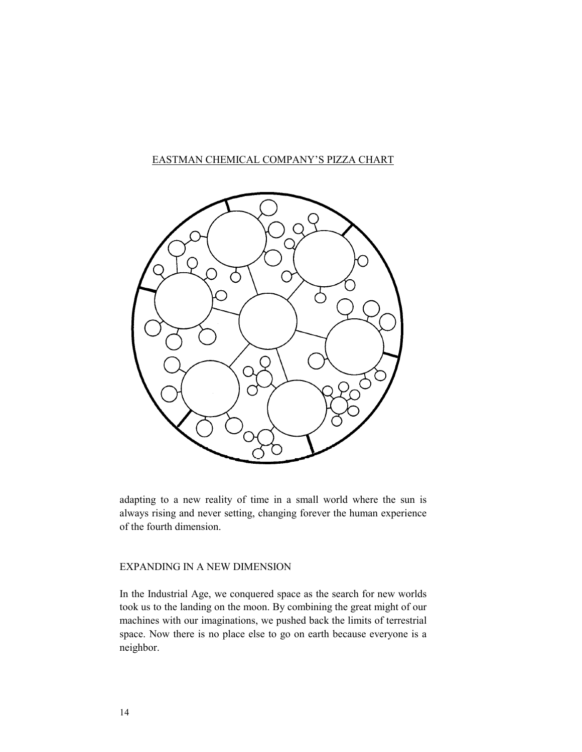## EASTMAN CHEMICAL COMPANY'S PIZZA CHART



adapting to a new reality of time in a small world where the sun is always rising and never setting, changing forever the human experience of the fourth dimension.

## EXPANDING IN A NEW DIMENSION

In the Industrial Age, we conquered space as the search for new worlds took us to the landing on the moon. By combining the great might of our machines with our imaginations, we pushed back the limits of terrestrial space. Now there is no place else to go on earth because everyone is a neighbor.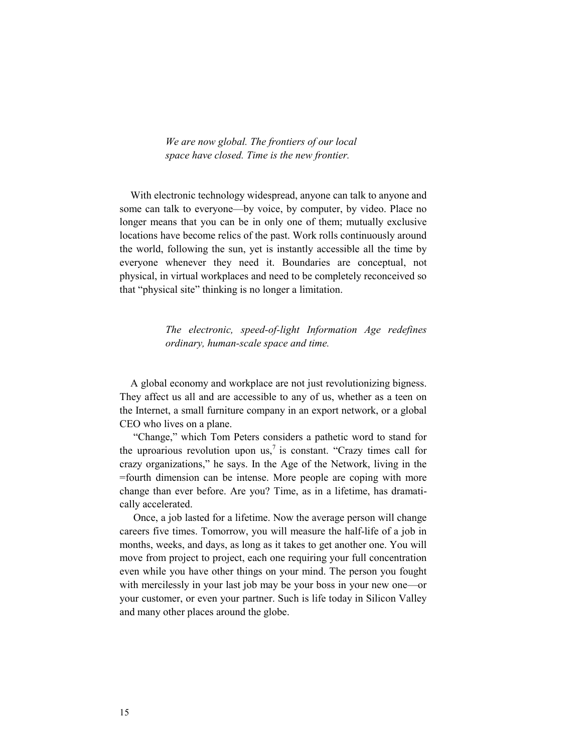*We are now global. The frontiers of our local space have closed. Time is the new frontier.* 

With electronic technology widespread, anyone can talk to anyone and some can talk to everyone—by voice, by computer, by video. Place no longer means that you can be in only one of them; mutually exclusive locations have become relics of the past. Work rolls continuously around the world, following the sun, yet is instantly accessible all the time by everyone whenever they need it. Boundaries are conceptual, not physical, in virtual workplaces and need to be completely reconceived so that "physical site" thinking is no longer a limitation.

> *The electronic, speed-of-light Information Age redefines ordinary, human-scale space and time.*

A global economy and workplace are not just revolutionizing bigness. They affect us all and are accessible to any of us, whether as a teen on the Internet, a small furniture company in an export network, or a global CEO who lives on a plane.

"Change," which Tom Peters considers a pathetic word to stand for the uproarious revolution upon us,<sup>7</sup> is constant. "Crazy times call for crazy organizations," he says. In the Age of the Network, living in the =fourth dimension can be intense. More people are coping with more change than ever before. Are you? Time, as in a lifetime, has dramatically accelerated.

Once, a job lasted for a lifetime. Now the average person will change careers five times. Tomorrow, you will measure the half-life of a job in months, weeks, and days, as long as it takes to get another one. You will move from project to project, each one requiring your full concentration even while you have other things on your mind. The person you fought with mercilessly in your last job may be your boss in your new one—or your customer, or even your partner. Such is life today in Silicon Valley and many other places around the globe.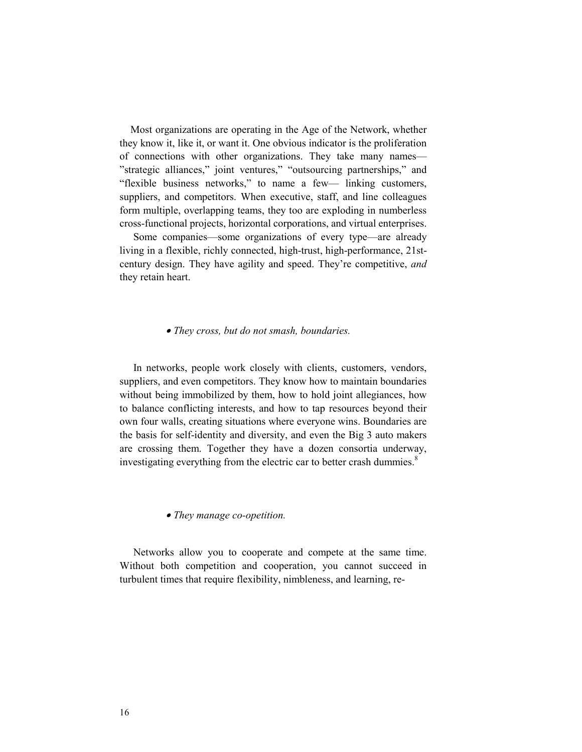Most organizations are operating in the Age of the Network, whether they know it, like it, or want it. One obvious indicator is the proliferation of connections with other organizations. They take many names— "strategic alliances," joint ventures," "outsourcing partnerships," and "flexible business networks," to name a few— linking customers, suppliers, and competitors. When executive, staff, and line colleagues form multiple, overlapping teams, they too are exploding in numberless cross-functional projects, horizontal corporations, and virtual enterprises.

Some companies—some organizations of every type—are already living in a flexible, richly connected, high-trust, high-performance, 21stcentury design. They have agility and speed. They're competitive, *and*  they retain heart.

### • *They cross, but do not smash, boundaries.*

In networks, people work closely with clients, customers, vendors, suppliers, and even competitors. They know how to maintain boundaries without being immobilized by them, how to hold joint allegiances, how to balance conflicting interests, and how to tap resources beyond their own four walls, creating situations where everyone wins. Boundaries are the basis for self-identity and diversity, and even the Big 3 auto makers are crossing them. Together they have a dozen consortia underway, investigating everything from the electric car to better crash dummies.<sup>8</sup>

## • *They manage co-opetition.*

Networks allow you to cooperate and compete at the same time. Without both competition and cooperation, you cannot succeed in turbulent times that require flexibility, nimbleness, and learning, re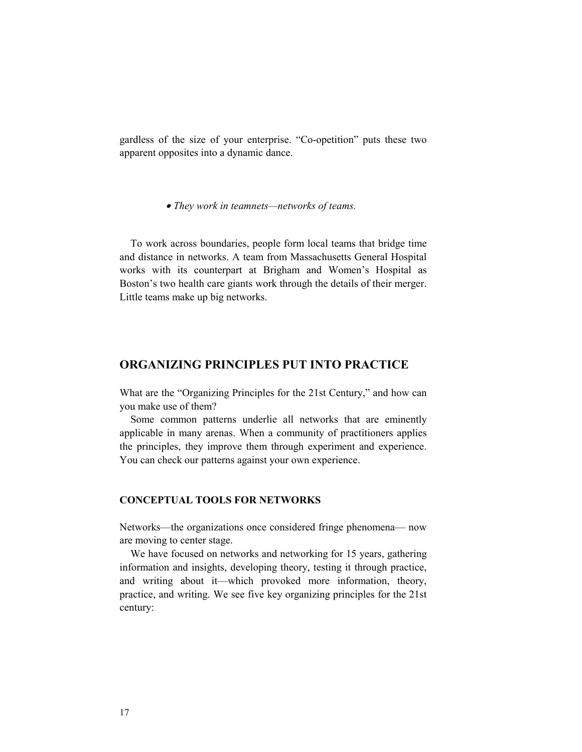gardless of the size of your enterprise. "Co-opetition" puts these two apparent opposites into a dynamic dance.

• *They work in teamnets—networks of teams.* 

To work across boundaries, people form local teams that bridge time and distance in networks. A team from Massachusetts General Hospital works with its counterpart at Brigham and Women's Hospital as Boston's two health care giants work through the details of their merger. Little teams make up big networks.

# **ORGANIZING PRINCIPLES PUT INTO PRACTICE**

What are the "Organizing Principles for the 21st Century," and how can you make use of them?

Some common patterns underlie all networks that are eminently applicable in many arenas. When a community of practitioners applies the principles, they improve them through experiment and experience. You can check our patterns against your own experience.

## **CONCEPTUAL TOOLS FOR NETWORKS**

Networks—the organizations once considered fringe phenomena— now are moving to center stage.

We have focused on networks and networking for 15 years, gathering information and insights, developing theory, testing it through practice, and writing about it—which provoked more information, theory, practice, and writing. We see five key organizing principles for the 21st century: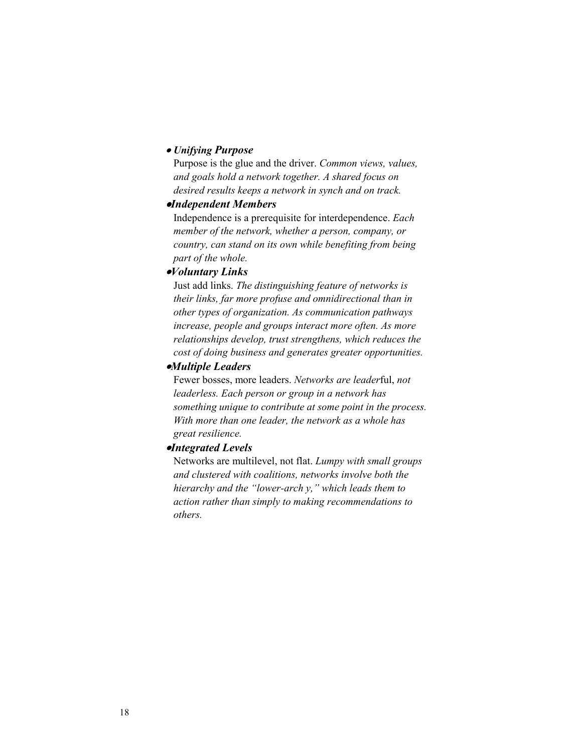## • *Unifying Purpose*

 Purpose is the glue and the driver. *Common views, values, and goals hold a network together. A shared focus on desired results keeps a network in synch and on track.* 

# •*Independent Members*

 Independence is a prerequisite for interdependence. *Each member of the network, whether a person, company, or country, can stand on its own while benefiting from being part of the whole.* 

# •*Voluntary Links*

 Just add links. *The distinguishing feature of networks is their links, far more profuse and omnidirectional than in other types of organization. As communication pathways increase, people and groups interact more often. As more relationships develop, trust strengthens, which reduces the cost of doing business and generates greater opportunities.* 

# •*Multiple Leaders*

 Fewer bosses, more leaders. *Networks are leader*ful, *not leaderless. Each person or group in a network has something unique to contribute at some point in the process. With more than one leader, the network as a whole has great resilience.* 

## •*Integrated Levels*

 Networks are multilevel, not flat. *Lumpy with small groups and clustered with coalitions, networks involve both the hierarchy and the "lower-arch y," which leads them to action rather than simply to making recommendations to others.*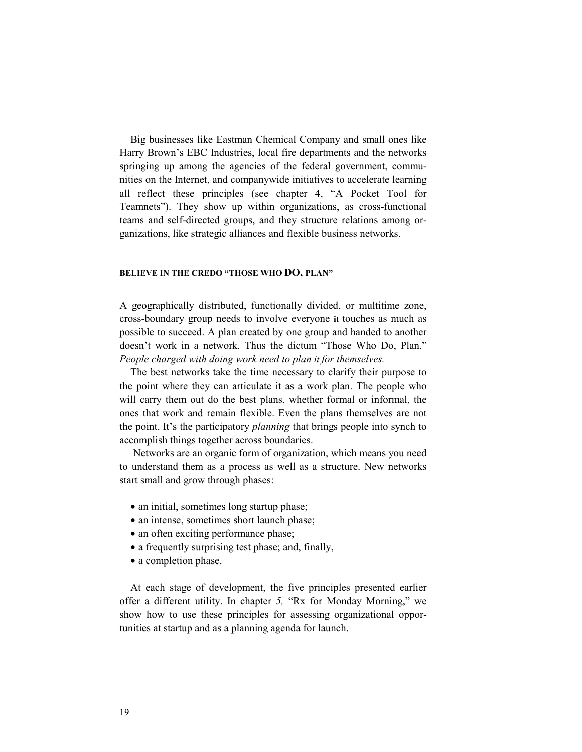Big businesses like Eastman Chemical Company and small ones like Harry Brown's EBC Industries, local fire departments and the networks springing up among the agencies of the federal government, communities on the Internet, and companywide initiatives to accelerate learning all reflect these principles (see chapter 4, "A Pocket Tool for Teamnets"). They show up within organizations, as cross-functional teams and self-directed groups, and they structure relations among organizations, like strategic alliances and flexible business networks.

#### **BELIEVE IN THE CREDO "THOSE WHO DO, PLAN"**

A geographically distributed, functionally divided, or multitime zone, cross-boundary group needs to involve everyone **it** touches as much as possible to succeed. A plan created by one group and handed to another doesn't work in a network. Thus the dictum "Those Who Do, Plan." *People charged with doing work need to plan it for themselves.* 

The best networks take the time necessary to clarify their purpose to the point where they can articulate it as a work plan. The people who will carry them out do the best plans, whether formal or informal, the ones that work and remain flexible. Even the plans themselves are not the point. It's the participatory *planning* that brings people into synch to accomplish things together across boundaries.

Networks are an organic form of organization, which means you need to understand them as a process as well as a structure. New networks start small and grow through phases:

- an initial, sometimes long startup phase;
- an intense, sometimes short launch phase;
- an often exciting performance phase;
- a frequently surprising test phase; and, finally,
- a completion phase.

At each stage of development, the five principles presented earlier offer a different utility. In chapter *5,* "Rx for Monday Morning," we show how to use these principles for assessing organizational opportunities at startup and as a planning agenda for launch.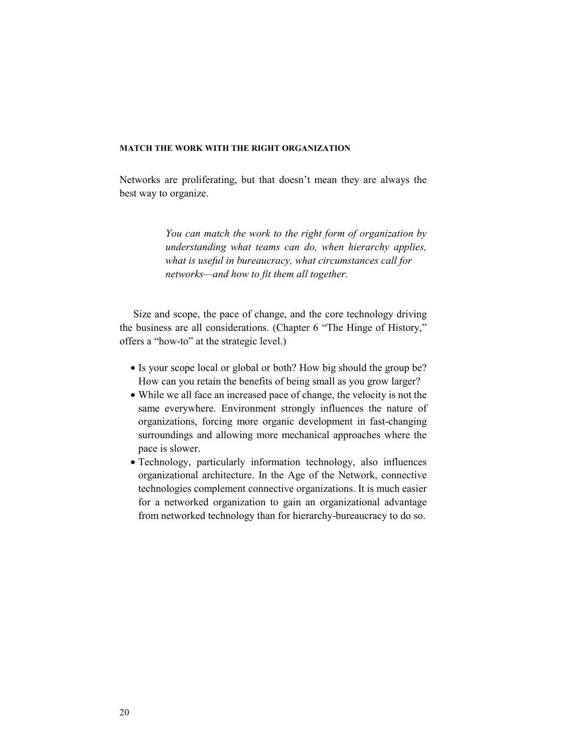#### **MATCH THE WORK WITH THE RIGHT ORGANIZATION**

Networks are proliferating, but that doesn't mean they are always the best way to organize.

> *You can match the work to the right form of organization by understanding what teams can do, when hierarchy applies, what is useful in bureaucracy, what circumstances call for networks—and how to fit them all together.*

Size and scope, the pace of change, and the core technology driving the business are all considerations. (Chapter 6 "The Hinge of History," offers a "how-to" at the strategic level.)

- Is your scope local or global or both? How big should the group be? How can you retain the benefits of being small as you grow larger?
- While we all face an increased pace of change, the velocity is not the same everywhere. Environment strongly influences the nature of organizations, forcing more organic development in fast-changing surroundings and allowing more mechanical approaches where the pace is slower.
- Technology, particularly information technology, also influences organizational architecture. In the Age of the Network, connective technologies complement connective organizations. It is much easier for a networked organization to gain an organizational advantage from networked technology than for hierarchy-bureaucracy to do so.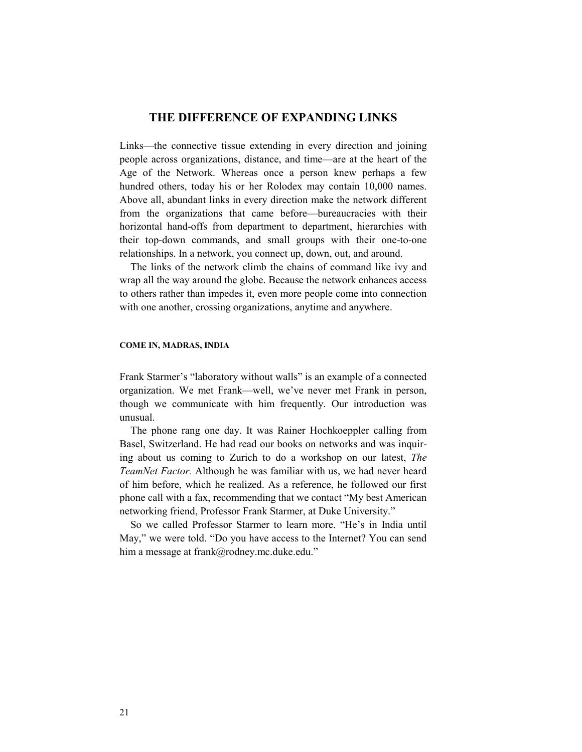## **THE DIFFERENCE OF EXPANDING LINKS**

Links—the connective tissue extending in every direction and joining people across organizations, distance, and time—are at the heart of the Age of the Network. Whereas once a person knew perhaps a few hundred others, today his or her Rolodex may contain 10,000 names. Above all, abundant links in every direction make the network different from the organizations that came before—bureaucracies with their horizontal hand-offs from department to department, hierarchies with their top-down commands, and small groups with their one-to-one relationships. In a network, you connect up, down, out, and around.

The links of the network climb the chains of command like ivy and wrap all the way around the globe. Because the network enhances access to others rather than impedes it, even more people come into connection with one another, crossing organizations, anytime and anywhere.

## **COME IN, MADRAS, INDIA**

Frank Starmer's "laboratory without walls" is an example of a connected organization. We met Frank—well, we've never met Frank in person, though we communicate with him frequently. Our introduction was unusual.

The phone rang one day. It was Rainer Hochkoeppler calling from Basel, Switzerland. He had read our books on networks and was inquiring about us coming to Zurich to do a workshop on our latest, *The TeamNet Factor.* Although he was familiar with us, we had never heard of him before, which he realized. As a reference, he followed our first phone call with a fax, recommending that we contact "My best American networking friend, Professor Frank Starmer, at Duke University."

So we called Professor Starmer to learn more. "He's in India until May," we were told. "Do you have access to the Internet? You can send him a message at frank@rodney.mc.duke.edu."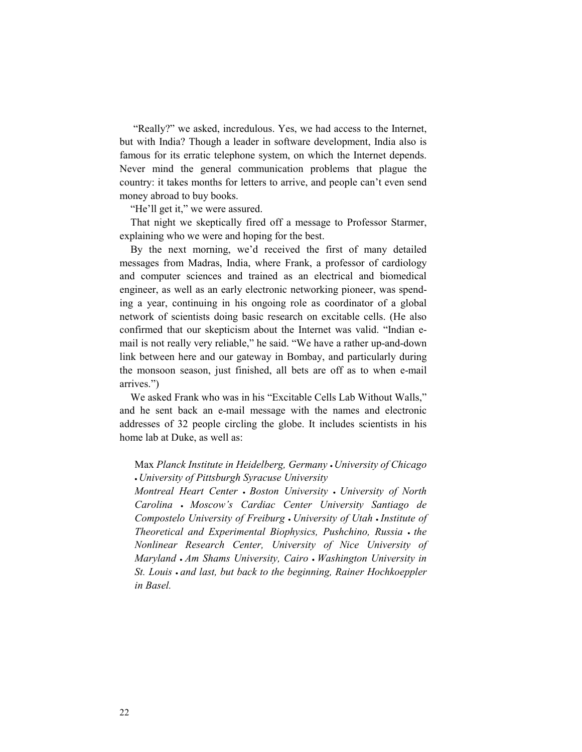"Really?" we asked, incredulous. Yes, we had access to the Internet, but with India? Though a leader in software development, India also is famous for its erratic telephone system, on which the Internet depends. Never mind the general communication problems that plague the country: it takes months for letters to arrive, and people can't even send money abroad to buy books.

"He'll get it," we were assured.

That night we skeptically fired off a message to Professor Starmer, explaining who we were and hoping for the best.

By the next morning, we'd received the first of many detailed messages from Madras, India, where Frank, a professor of cardiology and computer sciences and trained as an electrical and biomedical engineer, as well as an early electronic networking pioneer, was spending a year, continuing in his ongoing role as coordinator of a global network of scientists doing basic research on excitable cells. (He also confirmed that our skepticism about the Internet was valid. "Indian email is not really very reliable," he said. "We have a rather up-and-down link between here and our gateway in Bombay, and particularly during the monsoon season, just finished, all bets are off as to when e-mail arrives.")

We asked Frank who was in his "Excitable Cells Lab Without Walls," and he sent back an e-mail message with the names and electronic addresses of 32 people circling the globe. It includes scientists in his home lab at Duke, as well as:

# Max *Planck Institute in Heidelberg, Germany* • *University of Chicago*  • *University of Pittsburgh Syracuse University*

*Montreal Heart Center* • *Boston University* • *University of North Carolina* • *Moscow's Cardiac Center University Santiago de Compostelo University of Freiburg* • *University of Utah* • *Institute of Theoretical and Experimental Biophysics, Pushchino, Russia* • *the Nonlinear Research Center, University of Nice University of Maryland* • *Am Shams University, Cairo* • *Washington University in St. Louis* • *and last, but back to the beginning, Rainer Hochkoeppler in Basel.*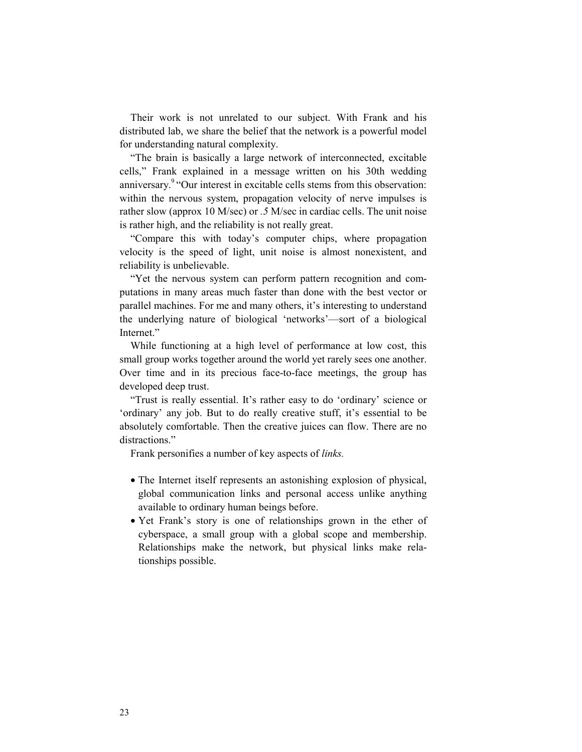Their work is not unrelated to our subject. With Frank and his distributed lab, we share the belief that the network is a powerful model for understanding natural complexity.

"The brain is basically a large network of interconnected, excitable cells," Frank explained in a message written on his 30th wedding anniversary.<sup>9</sup> "Our interest in excitable cells stems from this observation: within the nervous system, propagation velocity of nerve impulses is rather slow (approx 10 M/sec) or *.5* M/sec in cardiac cells. The unit noise is rather high, and the reliability is not really great.

"Compare this with today's computer chips, where propagation velocity is the speed of light, unit noise is almost nonexistent, and reliability is unbelievable.

"Yet the nervous system can perform pattern recognition and computations in many areas much faster than done with the best vector or parallel machines. For me and many others, it's interesting to understand the underlying nature of biological 'networks'—sort of a biological Internet."

While functioning at a high level of performance at low cost, this small group works together around the world yet rarely sees one another. Over time and in its precious face-to-face meetings, the group has developed deep trust.

"Trust is really essential. It's rather easy to do 'ordinary' science or 'ordinary' any job. But to do really creative stuff, it's essential to be absolutely comfortable. Then the creative juices can flow. There are no distractions."

Frank personifies a number of key aspects of *links.* 

- The Internet itself represents an astonishing explosion of physical, global communication links and personal access unlike anything available to ordinary human beings before.
- Yet Frank's story is one of relationships grown in the ether of cyberspace, a small group with a global scope and membership. Relationships make the network, but physical links make relationships possible.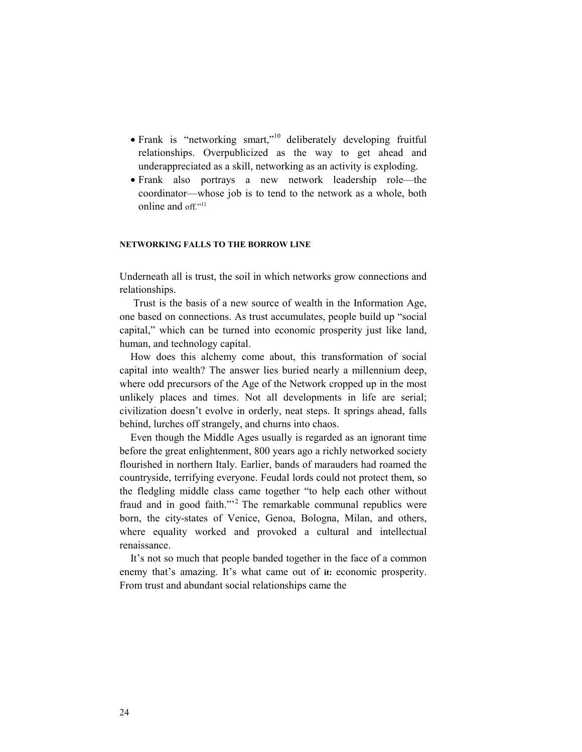- Frank is "networking smart,"10 deliberately developing fruitful relationships. Overpublicized as the way to get ahead and underappreciated as a skill, networking as an activity is exploding.
- Frank also portrays a new network leadership role—the coordinator—whose job is to tend to the network as a whole, both online and off<sup>"11</sup>

#### **NETWORKING FALLS TO THE BORROW LINE**

Underneath all is trust, the soil in which networks grow connections and relationships.

Trust is the basis of a new source of wealth in the Information Age, one based on connections. As trust accumulates, people build up "social capital," which can be turned into economic prosperity just like land, human, and technology capital.

How does this alchemy come about, this transformation of social capital into wealth? The answer lies buried nearly a millennium deep, where odd precursors of the Age of the Network cropped up in the most unlikely places and times. Not all developments in life are serial; civilization doesn't evolve in orderly, neat steps. It springs ahead, falls behind, lurches off strangely, and churns into chaos.

Even though the Middle Ages usually is regarded as an ignorant time before the great enlightenment, 800 years ago a richly networked society flourished in northern Italy. Earlier, bands of marauders had roamed the countryside, terrifying everyone. Feudal lords could not protect them, so the fledgling middle class came together "to help each other without fraud and in good faith."'2 The remarkable communal republics were born, the city-states of Venice, Genoa, Bologna, Milan, and others, where equality worked and provoked a cultural and intellectual renaissance.

It's not so much that people banded together in the face of a common enemy that's amazing. It's what came out of **it:** economic prosperity. From trust and abundant social relationships came the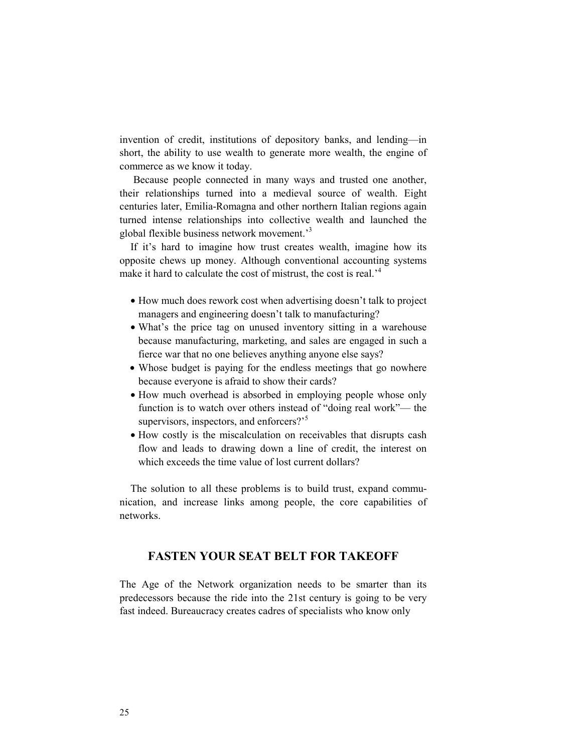invention of credit, institutions of depository banks, and lending—in short, the ability to use wealth to generate more wealth, the engine of commerce as we know it today.

Because people connected in many ways and trusted one another, their relationships turned into a medieval source of wealth. Eight centuries later, Emilia-Romagna and other northern Italian regions again turned intense relationships into collective wealth and launched the global flexible business network movement.'<sup>3</sup>

If it's hard to imagine how trust creates wealth, imagine how its opposite chews up money. Although conventional accounting systems make it hard to calculate the cost of mistrust, the cost is real.<sup>4</sup>

- How much does rework cost when advertising doesn't talk to project managers and engineering doesn't talk to manufacturing?
- What's the price tag on unused inventory sitting in a warehouse because manufacturing, marketing, and sales are engaged in such a fierce war that no one believes anything anyone else says?
- Whose budget is paying for the endless meetings that go nowhere because everyone is afraid to show their cards?
- How much overhead is absorbed in employing people whose only function is to watch over others instead of "doing real work"— the supervisors, inspectors, and enforcers?<sup>55</sup>
- How costly is the miscalculation on receivables that disrupts cash flow and leads to drawing down a line of credit, the interest on which exceeds the time value of lost current dollars?

The solution to all these problems is to build trust, expand communication, and increase links among people, the core capabilities of networks.

# **FASTEN YOUR SEAT BELT FOR TAKEOFF**

The Age of the Network organization needs to be smarter than its predecessors because the ride into the 21st century is going to be very fast indeed. Bureaucracy creates cadres of specialists who know only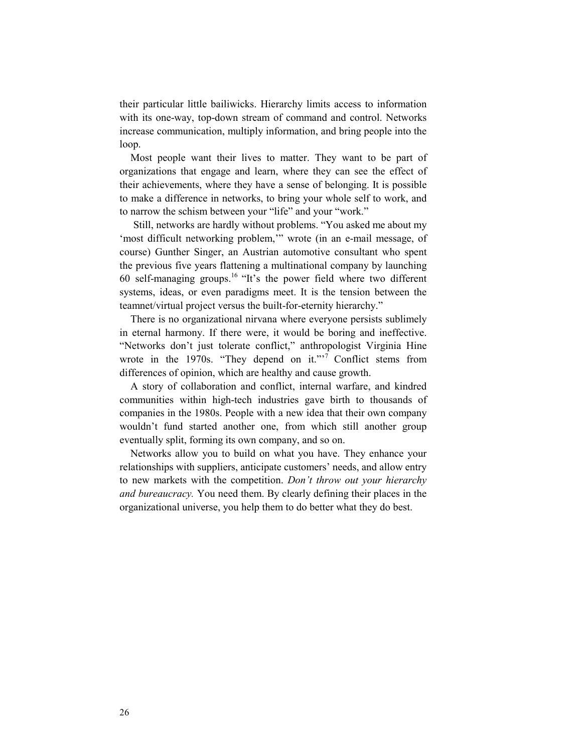their particular little bailiwicks. Hierarchy limits access to information with its one-way, top-down stream of command and control. Networks increase communication, multiply information, and bring people into the loop.

Most people want their lives to matter. They want to be part of organizations that engage and learn, where they can see the effect of their achievements, where they have a sense of belonging. It is possible to make a difference in networks, to bring your whole self to work, and to narrow the schism between your "life" and your "work."

Still, networks are hardly without problems. "You asked me about my 'most difficult networking problem,'" wrote (in an e-mail message, of course) Gunther Singer, an Austrian automotive consultant who spent the previous five years flattening a multinational company by launching 60 self-managing groups.<sup>16</sup> "It's the power field where two different systems, ideas, or even paradigms meet. It is the tension between the teamnet/virtual project versus the built-for-eternity hierarchy."

There is no organizational nirvana where everyone persists sublimely in eternal harmony. If there were, it would be boring and ineffective. "Networks don't just tolerate conflict," anthropologist Virginia Hine wrote in the 1970s. "They depend on it."<sup>7</sup> Conflict stems from differences of opinion, which are healthy and cause growth.

A story of collaboration and conflict, internal warfare, and kindred communities within high-tech industries gave birth to thousands of companies in the 1980s. People with a new idea that their own company wouldn't fund started another one, from which still another group eventually split, forming its own company, and so on.

Networks allow you to build on what you have. They enhance your relationships with suppliers, anticipate customers' needs, and allow entry to new markets with the competition. *Don't throw out your hierarchy and bureaucracy.* You need them. By clearly defining their places in the organizational universe, you help them to do better what they do best.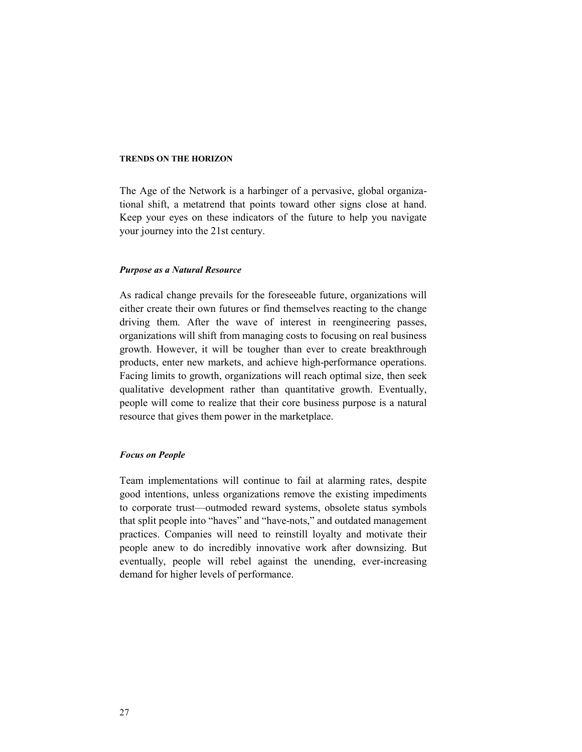## **TRENDS ON THE HORIZON**

The Age of the Network is a harbinger of a pervasive, global organizational shift, a metatrend that points toward other signs close at hand. Keep your eyes on these indicators of the future to help you navigate your journey into the 21st century.

#### *Purpose as a Natural Resource*

As radical change prevails for the foreseeable future, organizations will either create their own futures or find themselves reacting to the change driving them. After the wave of interest in reengineering passes, organizations will shift from managing costs to focusing on real business growth. However, it will be tougher than ever to create breakthrough products, enter new markets, and achieve high-performance operations. Facing limits to growth, organizations will reach optimal size, then seek qualitative development rather than quantitative growth. Eventually, people will come to realize that their core business purpose is a natural resource that gives them power in the marketplace.

## *Focus on People*

Team implementations will continue to fail at alarming rates, despite good intentions, unless organizations remove the existing impediments to corporate trust—outmoded reward systems, obsolete status symbols that split people into "haves" and "have-nots," and outdated management practices. Companies will need to reinstill loyalty and motivate their people anew to do incredibly innovative work after downsizing. But eventually, people will rebel against the unending, ever-increasing demand for higher levels of performance.